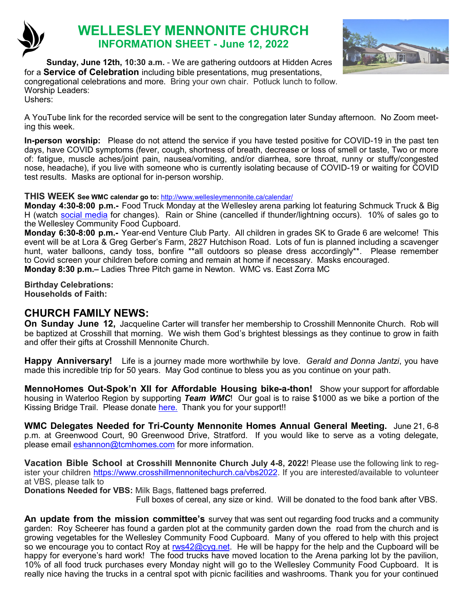

# **WELLESLEY MENNONITE CHURCH INFORMATION SHEET - June 12, 2022**



**Sunday, June 12th, 10:30 a.m.** - We are gathering outdoors at Hidden Acres for a **Service of Celebration** including bible presentations, mug presentations, congregational celebrations and more. Bring your own chair. Potluck lunch to follow. Worship Leaders: Ushers:

A YouTube link for the recorded service will be sent to the congregation later Sunday afternoon. No Zoom meeting this week.

**In-person worship:** Please do not attend the service if you have tested positive for COVID-19 in the past ten days, have COVID symptoms (fever, cough, shortness of breath, decrease or loss of smell or taste, Two or more of: fatigue, muscle aches/joint pain, nausea/vomiting, and/or diarrhea, sore throat, runny or stuffy/congested nose, headache), if you live with someone who is currently isolating because of COVID-19 or waiting for COVID test results. Masks are optional for in-person worship.

#### **THIS WEEK See WMC calendar go to:** <http://www.wellesleymennonite.ca/calendar/>

**Monday 4:30-8:00 p.m.-** Food Truck Monday at the Wellesley arena parking lot featuring Schmuck Truck & Big H (watch [social media](https://www.instagram.com/stmarkswellesley/) for changes). Rain or Shine (cancelled if thunder/lightning occurs). 10% of sales go to the Wellesley Community Food Cupboard.

**Monday 6:30-8:00 p.m.-** Year-end Venture Club Party. All children in grades SK to Grade 6 are welcome! This event will be at Lora & Greg Gerber's Farm, 2827 Hutchison Road. Lots of fun is planned including a scavenger hunt, water balloons, candy toss, bonfire \*\*all outdoors so please dress accordingly\*\*. Please remember to Covid screen your children before coming and remain at home if necessary. Masks encouraged. **Monday 8:30 p.m.–** Ladies Three Pitch game in Newton. WMC vs. East Zorra MC

**Birthday Celebrations: Households of Faith:** 

## **CHURCH FAMILY NEWS:**

**On Sunday June 12,** Jacqueline Carter will transfer her membership to Crosshill Mennonite Church. Rob will be baptized at Crosshill that morning. We wish them God's brightest blessings as they continue to grow in faith and offer their gifts at Crosshill Mennonite Church.

**Happy Anniversary!** Life is a journey made more worthwhile by love. *Gerald and Donna Jantzi*, you have made this incredible trip for 50 years. May God continue to bless you as you continue on your path.

**MennoHomes Out-Spok'[n XII for Affordable Housing bike](https://t.e2ma.net/click/r0dmhh/np2qvh/nt1ktt)-a-thon!** Show your support for affordable housing in Waterloo Region by supporting *Team WMC*! Our goal is to raise \$1000 as we bike a portion of the Kissing Bridge Trail. Please donate [here.](https://www.canadahelps.org/s/npbETN) Thank you for your support!!

**WMC Delegates Needed for Tri-County Mennonite Homes Annual General Meeting.** June 21, 6-8 p.m. at Greenwood Court, 90 Greenwood Drive, Stratford. If you would like to serve as a voting delegate, please email [eshannon@tcmhomes.com](mailto:eshannon@tcmhomes.com) for more information.

**Vacation Bible School at Crosshill Mennonite Church July 4-8, 2022**! Please use the following link to register your children [https://www.crosshillmennonitechurch.ca/vbs2022.](https://www.crosshillmennonitechurch.ca/vbs2022) If you are interested/available to volunteer at VBS, please talk to

**Donations Needed for VBS:** Milk Bags, flattened bags preferred.

Full boxes of cereal, any size or kind. Will be donated to the food bank after VBS.

**An update from the mission committee's** survey that was sent out regarding food trucks and a community garden: Roy Scheerer has found a garden plot at the community garden down the road from the church and is growing vegetables for the Wellesley Community Food Cupboard. Many of you offered to help with this project so we encourage you to contact Roy at **rws42@cyg.net**. He will be happy for the help and the Cupboard will be happy for everyone's hard work! The food trucks have moved location to the Arena parking lot by the pavilion, 10% of all food truck purchases every Monday night will go to the Wellesley Community Food Cupboard. It is really nice having the trucks in a central spot with picnic facilities and washrooms. Thank you for your continued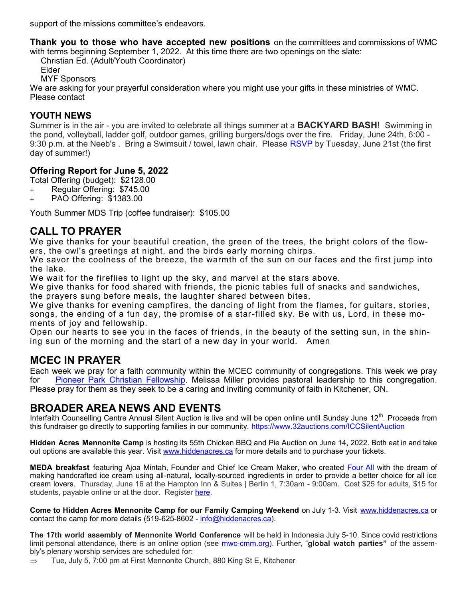support of the missions committee's endeavors.

**Thank you to those who have accepted new positions** on the committees and commissions of WMC with terms beginning September 1, 2022. At this time there are two openings on the slate:

Christian Ed. (Adult/Youth Coordinator)

Elder

MYF Sponsors

We are asking for your prayerful consideration where you might use your gifts in these ministries of WMC. Please contact

### **YOUTH NEWS**

Summer is in the air - you are invited to celebrate all things summer at a **BACKYARD BASH**! Swimming in the pond, volleyball, ladder golf, outdoor games, grilling burgers/dogs over the fire. Friday, June 24th, 6:00 - 9:30 p.m. at the Neeb's . Bring a Swimsuit / towel, lawn chair. Please [RSVP](mailto:ljneeb@gmail.com) by Tuesday, June 21st (the first day of summer!)

### **Offering Report for June 5, 2022**

Total Offering (budget): \$2128.00

- + Regular Offering: \$745.00
- + PAO Offering: \$1383.00

Youth Summer MDS Trip (coffee fundraiser): \$105.00

## **CALL TO PRAYER**

We give thanks for your beautiful creation, the green of the trees, the bright colors of the flowers, the owl's greetings at night, and the birds early morning chirps.

We savor the coolness of the breeze, the warmth of the sun on our faces and the first jump into the lake.

We wait for the fireflies to light up the sky, and marvel at the stars above.

We give thanks for food shared with friends, the picnic tables full of snacks and sandwiches, the prayers sung before meals, the laughter shared between bites,

We give thanks for evening campfires, the dancing of light from the flames, for guitars, stories, songs, the ending of a fun day, the promise of a star-filled sky. Be with us, Lord, in these moments of joy and fellowship.

Open our hearts to see you in the faces of friends, in the beauty of the setting sun, in the shining sun of the morning and the start of a new day in your world. Amen

## **MCEC IN PRAYER**

Each week we pray for a faith community within the MCEC community of congregations. This week we pray for [Pioneer Park Christian Fellowship.](https://ppcf.ca/) Melissa Miller provides pastoral leadership to this congregation. Please pray for them as they seek to be a caring and inviting community of faith in Kitchener, ON.

## **BROADER AREA NEWS AND EVENTS**

Interfaith Counselling Centre Annual Silent Auction is live and will be open online until Sunday June 12<sup>th</sup>. Proceeds from this fundraiser go directly to supporting families in our community. <https://www.32auctions.com/ICCSilentAuction>

**Hidden Acres Mennonite Camp** is hosting its 55th Chicken BBQ and Pie Auction on June 14, 2022. Both eat in and take out options are available this year. Visit [www.hiddenacres.ca](http://www.hiddenacres.ca/) for more details and to purchase your tickets.

**MEDA breakfast** featuring Ajoa Mintah, Founder and Chief Ice Cream Maker, who created [Four All](http://ca.engagingnetworks.app/page/email/click/2233/5928786?email=R%2FIk%2FN6gVSl%2FcGc0gUlrSYNmYRDH4syrvXcwuB1n85c=&campid=gONpru7X4fO9awglrPTZ7Q==) with the dream of making handcrafted ice cream using all-natural, locally-sourced ingredients in order to provide a better choice for all ice cream lovers. Thursday, June 16 at the Hampton Inn & Suites | Berlin 1, 7:30am - 9:00am. Cost \$25 for adults, \$15 for students, payable online or at the door. Register [here.](https://engage.meda.org/page/107003/subscribe/1)

**Come to Hidden Acres Mennonite Camp for our Family Camping Weekend** on July 1-3. Visit [www.hiddenacres.ca](http://www.hiddenacres.ca/) or contact the camp for more details (519-625-8602 - [info@hiddenacres.ca\)](mailto:info@hiddenacres.ca).

**The 17th world assembly of Mennonite World Conference** will be held in Indonesia July 5-10. Since covid restrictions limit personal attendance, there is an online option (see mwc-[cmm.org\).](http://mwc-cmm.org/) Further, "**global watch parties"** of the assembly's plenary worship services are scheduled for:

 $\Rightarrow$  Tue, July 5, 7:00 pm at First Mennonite Church, 880 King St E, Kitchener